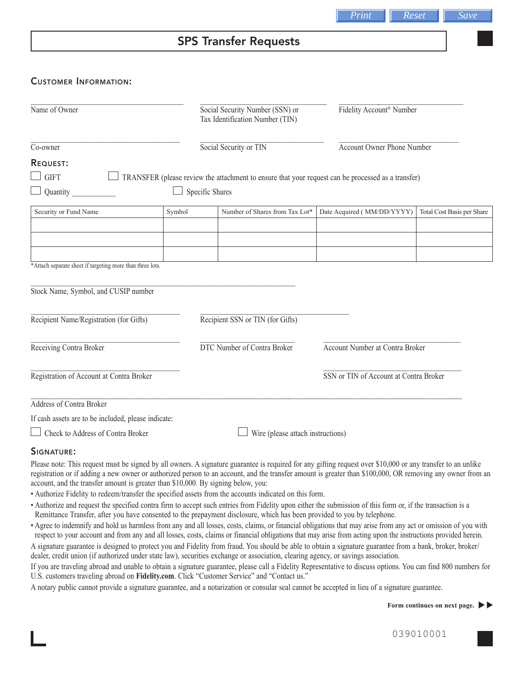# SPS Transfer Requests

## Customer Information:

| Name of Owner                                             |        | Social Security Number (SSN) or<br>Tax Identification Number (TIN)                                 | Fidelity Account <sup>®</sup> Number   |                            |
|-----------------------------------------------------------|--------|----------------------------------------------------------------------------------------------------|----------------------------------------|----------------------------|
| Co-owner                                                  |        | Social Security or TIN                                                                             | <b>Account Owner Phone Number</b>      |                            |
| <b>REQUEST:</b>                                           |        |                                                                                                    |                                        |                            |
| <b>GIFT</b>                                               |        | TRANSFER (please review the attachment to ensure that your request can be processed as a transfer) |                                        |                            |
| Quantity                                                  |        | Specific Shares                                                                                    |                                        |                            |
| Security or Fund Name                                     | Symbol | Number of Shares from Tax Lot*                                                                     | Date Acquired (MM/DD/YYYY)             | Total Cost Basis per Share |
|                                                           |        |                                                                                                    |                                        |                            |
|                                                           |        |                                                                                                    |                                        |                            |
| *Attach separate sheet if targeting more than three lots. |        |                                                                                                    |                                        |                            |
|                                                           |        |                                                                                                    |                                        |                            |
| Stock Name, Symbol, and CUSIP number                      |        |                                                                                                    |                                        |                            |
| Recipient Name/Registration (for Gifts)                   |        | Recipient SSN or TIN (for Gifts)                                                                   |                                        |                            |
| Receiving Contra Broker                                   |        | <b>DTC Number of Contra Broker</b><br>Account Number at Contra Broker                              |                                        |                            |
| Registration of Account at Contra Broker                  |        |                                                                                                    | SSN or TIN of Account at Contra Broker |                            |
| <b>Address of Contra Broker</b>                           |        |                                                                                                    |                                        |                            |
| If cash assets are to be included, please indicate:       |        |                                                                                                    |                                        |                            |
| Check to Address of Contra Broker                         |        | Wire (please attach instructions)                                                                  |                                        |                            |

#### SIGNATURE:

Please note: This request must be signed by all owners. A signature guarantee is required for any gifting request over \$10,000 or any transfer to an unlike registration or if adding a new owner or authorized person to an account, and the transfer amount is greater than \$100,000, OR removing any owner from an account, and the transfer amount is greater than \$10,000. By signing below, you:

- Authorize Fidelity to redeem/transfer the specified assets from the accounts indicated on this form.
- Authorize and request the specified contra firm to accept such entries from Fidelity upon either the submission of this form or, if the transaction is a Remittance Transfer, after you have consented to the prepayment disclosure, which has been provided to you by telephone.
- Agree to indemnify and hold us harmless from any and all losses, costs, claims, or financial obligations that may arise from any act or omission of you with respect to your account and from any and all losses, costs, claims or financial obligations that may arise from acting upon the instructions provided herein. A signature guarantee is designed to protect you and Fidelity from fraud. You should be able to obtain a signature guarantee from a bank, broker, broker/

dealer, credit union (if authorized under state law), securities exchange or association, clearing agency, or savings association.

If you are traveling abroad and unable to obtain a signature guarantee, please call a Fidelity Representative to discuss options. You can find 800 numbers for U.S. customers traveling abroad on **Fidelity.com**. Click "Customer Service" and "Contact us."

A notary public cannot provide a signature guarantee, and a notarization or consular seal cannot be accepted in lieu of a signature guarantee.

*Print Reset Save*